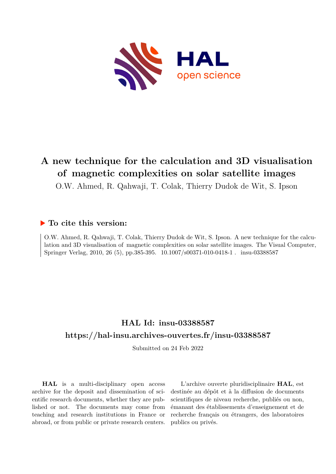

### **A new technique for the calculation and 3D visualisation of magnetic complexities on solar satellite images**

O.W. Ahmed, R. Qahwaji, T. Colak, Thierry Dudok de Wit, S. Ipson

#### **To cite this version:**

O.W. Ahmed, R. Qahwaji, T. Colak, Thierry Dudok de Wit, S. Ipson. A new technique for the calculation and 3D visualisation of magnetic complexities on solar satellite images. The Visual Computer, Springer Verlag, 2010, 26 (5), pp.385-395.  $10.1007/s00371-010-0418-1$ . insu-03388587

### **HAL Id: insu-03388587 <https://hal-insu.archives-ouvertes.fr/insu-03388587>**

Submitted on 24 Feb 2022

**HAL** is a multi-disciplinary open access archive for the deposit and dissemination of scientific research documents, whether they are published or not. The documents may come from teaching and research institutions in France or abroad, or from public or private research centers.

L'archive ouverte pluridisciplinaire **HAL**, est destinée au dépôt et à la diffusion de documents scientifiques de niveau recherche, publiés ou non, émanant des établissements d'enseignement et de recherche français ou étrangers, des laboratoires publics ou privés.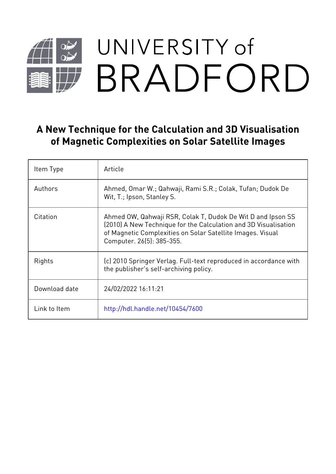# UNIVERSITY of  $\frac{1}{2}$ BRADFORD

## **A New Technique for the Calculation and 3D Visualisation of Magnetic Complexities on Solar Satellite Images**

| Item Type     | Article                                                                                                                                                                                                                   |
|---------------|---------------------------------------------------------------------------------------------------------------------------------------------------------------------------------------------------------------------------|
| Authors       | Ahmed, Omar W.; Qahwaji, Rami S.R.; Colak, Tufan; Dudok De<br>Wit, T.; Ipson, Stanley S.                                                                                                                                  |
| Citation      | Ahmed OW, Qahwaji RSR, Colak T, Dudok De Wit D and Ipson SS<br>(2010) A New Technique for the Calculation and 3D Visualisation<br>of Magnetic Complexities on Solar Satellite Images. Visual<br>Computer. 26(5): 385-355. |
| Rights        | (c) 2010 Springer Verlag. Full-text reproduced in accordance with<br>the publisher's self-archiving policy.                                                                                                               |
| Download date | 24/02/2022 16:11:21                                                                                                                                                                                                       |
| Link to Item  | http://hdl.handle.net/10454/7600                                                                                                                                                                                          |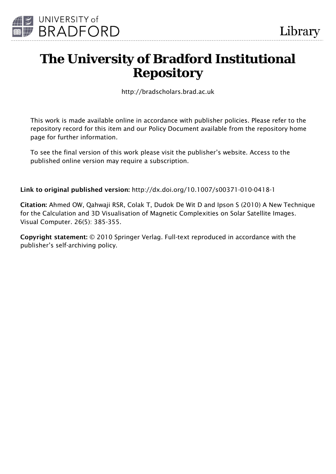

# **The University of Bradford Institutional Repository**

http://bradscholars.brad.ac.uk

This work is made available online in accordance with publisher policies. Please refer to the repository record for this item and our Policy Document available from the repository home page for further information.

To see the final version of this work please visit the publisher's website. Access to the published online version may require a subscription.

Link to original published version: http://dx.doi.org/10.1007/s00371-010-0418-1

Citation: Ahmed OW, Qahwaji RSR, Colak T, Dudok De Wit D and Ipson S (2010) A New Technique for the Calculation and 3D Visualisation of Magnetic Complexities on Solar Satellite Images. Visual Computer. 26(5): 385-355.

Copyright statement: © 2010 Springer Verlag. Full-text reproduced in accordance with the publisher's self-archiving policy.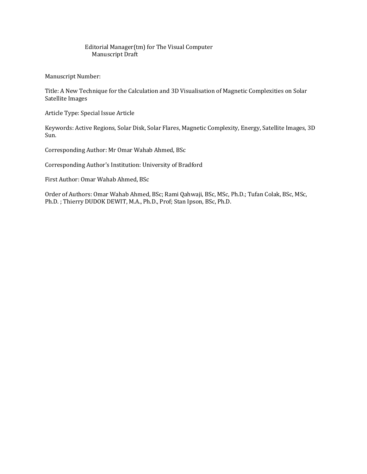#### Editorial Manager(tm) for The Visual Computer Manuscript Draft

Manuscript Number:

Title: A New Technique for the Calculation and 3D Visualisation of Magnetic Complexities on Solar Satellite Images

Article Type: Special Issue Article

Keywords: Active Regions, Solar Disk, Solar Flares, Magnetic Complexity, Energy, Satellite Images, 3D Sun.

Corresponding Author: Mr Omar Wahab Ahmed, BSc

Corresponding Author's Institution: University of Bradford

First Author: Omar Wahab Ahmed, BSc

Order of Authors: Omar Wahab Ahmed, BSc; Rami Qahwaji, BSc, MSc, Ph.D.; Tufan Colak, BSc, MSc, Ph.D. ; Thierry DUDOK DEWIT, M.A., Ph.D., Prof; Stan Ipson, BSc, Ph.D.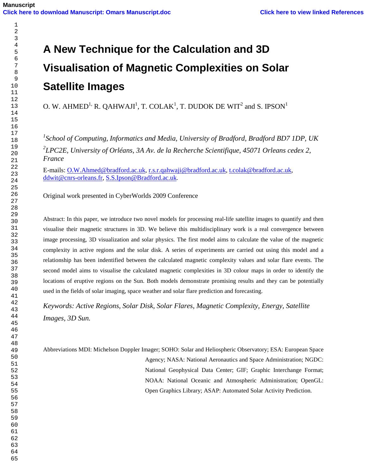# **A New Technique for the Calculation and 3D Visualisation of Magnetic Complexities on Solar Satellite Images**

O. W. AHMED<sup>1,</sup> R. QAHWAJI<sup>1</sup>, T. COLAK<sup>1</sup>, T. DUDOK DE WIT<sup>2</sup> and S. IPSON<sup>1</sup>

 *School of Computing, Informatics and Media, University of Bradford, Bradford BD7 1DP, UK LPC2E, University of Orléans, 3A Av. de la Recherche Scientifique, 45071 Orleans cedex 2, France* 

E-mails: O.W.Ahmed@bradford.ac.uk, r.s.r.qahwaji@bradford.ac.uk, t.colak@bradford.ac.uk, ddwit@cnrs-orleans.fr, S.S.Ipson@Bradford.ac.uk.

Original work presented in CyberWorlds 2009 Conference

Abstract: In this paper, we introduce two novel models for processing real-life satellite images to quantify and then visualise their magnetic structures in 3D. We believe this multidisciplinary work is a real convergence between image processing, 3D visualization and solar physics. The first model aims to calculate the value of the magnetic complexity in active regions and the solar disk. A series of experiments are carried out using this model and a relationship has been indentified between the calculated magnetic complexity values and solar flare events. The second model aims to visualise the calculated magnetic complexities in 3D colour maps in order to identify the locations of eruptive regions on the Sun. Both models demonstrate promising results and they can be potentially used in the fields of solar imaging, space weather and solar flare prediction and forecasting.

*Keywords: Active Regions, Solar Disk, Solar Flares, Magnetic Complexity, Energy, Satellite Images, 3D Sun.* 

Abbreviations MDI: Michelson Doppler Imager; SOHO: Solar and Heliospheric Observatory; ESA: European Space Agency; NASA: National Aeronautics and Space Administration; NGDC: National Geophysical Data Center; GIF; Graphic Interchange Format; NOAA: National Oceanic and Atmospheric Administration; OpenGL: Open Graphics Library; ASAP: Automated Solar Activity Prediction.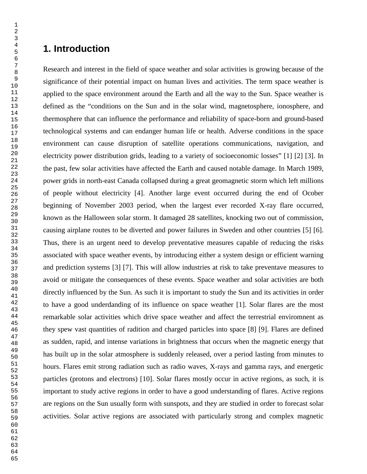#### **1. Introduction**

Research and interest in the field of space weather and solar activities is growing because of the significance of their potential impact on human lives and activities. The term space weather is applied to the space environment around the Earth and all the way to the Sun. Space weather is defined as the "conditions on the Sun and in the solar wind, magnetosphere, ionosphere, and thermosphere that can influence the performance and reliability of space-born and ground-based technological systems and can endanger human life or health. Adverse conditions in the space environment can cause disruption of satellite operations communications, navigation, and electricity power distribution grids, leading to a variety of socioeconomic losses" [1] [2] [3]. In the past, few solar activities have affected the Earth and caused notable damage. In March 1989, power grids in north-east Canada collapsed during a great geomagnetic storm which left millions of people without electricity [4]. Another large event occurred during the end of Ocober beginning of November 2003 period, when the largest ever recorded X-ray flare occurred, known as the Halloween solar storm. It damaged 28 satellites, knocking two out of commission, causing airplane routes to be diverted and power failures in Sweden and other countries [5] [6]. Thus, there is an urgent need to develop preventative measures capable of reducing the risks associated with space weather events, by introducing either a system design or efficient warning and prediction systems [3] [7]. This will allow industries at risk to take preventave measures to avoid or mitigate the consequences of these events. Space weather and solar activities are both directly influenced by the Sun. As such it is important to study the Sun and its activities in order to have a good underdanding of its influence on space weather [1]. Solar flares are the most remarkable solar activities which drive space weather and affect the terrestrial enviromnent as they spew vast quantities of radition and charged particles into space [8] [9]. Flares are defined as sudden, rapid, and intense variations in brightness that occurs when the magnetic energy that has built up in the solar atmosphere is suddenly released, over a period lasting from minutes to hours. Flares emit strong radiation such as radio waves, X-rays and gamma rays, and energetic particles (protons and electrons) [10]. Solar flares mostly occur in active regions, as such, it is important to study active regions in order to have a good understanding of flares. Active regions are regions on the Sun usually form with sunspots, and they are studied in order to forecast solar activities. Solar active regions are associated with particularly strong and complex magnetic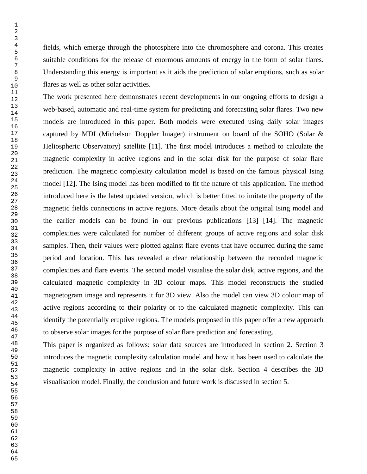fields, which emerge through the photosphere into the chromosphere and corona. This creates suitable conditions for the release of enormous amounts of energy in the form of solar flares. Understanding this energy is important as it aids the prediction of solar eruptions, such as solar flares as well as other solar activities.

The work presented here demonstrates recent developments in our ongoing efforts to design a web-based, automatic and real-time system for predicting and forecasting solar flares. Two new models are introduced in this paper. Both models were executed using daily solar images captured by MDI (Michelson Doppler Imager) instrument on board of the SOHO (Solar & Heliospheric Observatory) satellite [11]. The first model introduces a method to calculate the magnetic complexity in active regions and in the solar disk for the purpose of solar flare prediction. The magnetic complexity calculation model is based on the famous physical Ising model [12]. The Ising model has been modified to fit the nature of this application. The method introduced here is the latest updated version, which is better fitted to imitate the property of the magnetic fields connections in active regions. More details about the original Ising model and the earlier models can be found in our previous publications [13] [14]. The magnetic complexities were calculated for number of different groups of active regions and solar disk samples. Then, their values were plotted against flare events that have occurred during the same period and location. This has revealed a clear relationship between the recorded magnetic complexities and flare events. The second model visualise the solar disk, active regions, and the calculated magnetic complexity in 3D colour maps. This model reconstructs the studied magnetogram image and represents it for 3D view. Also the model can view 3D colour map of active regions according to their polarity or to the calculated magnetic complexity. This can identify the potentially eruptive regions. The models proposed in this paper offer a new approach to observe solar images for the purpose of solar flare prediction and forecasting.

This paper is organized as follows: solar data sources are introduced in section 2. Section 3 introduces the magnetic complexity calculation model and how it has been used to calculate the magnetic complexity in active regions and in the solar disk. Section 4 describes the 3D visualisation model. Finally, the conclusion and future work is discussed in section 5.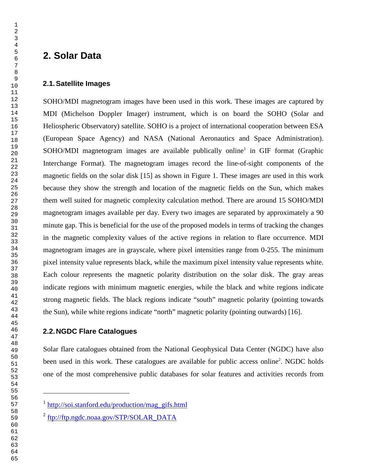#### **2. Solar Data**

#### **2.1. Satellite Images**

SOHO/MDI magnetogram images have been used in this work. These images are captured by MDI (Michelson Doppler Imager) instrument, which is on board the SOHO (Solar and Heliospheric Observatory) satellite. SOHO is a project of international cooperation between ESA (European Space Agency) and NASA (National Aeronautics and Space Administration). SOHO/MDI magnetogram images are available publically online<sup>1</sup> in GIF format (Graphic Interchange Format). The magnetogram images record the line-of-sight components of the magnetic fields on the solar disk [15] as shown in Figure 1. These images are used in this work because they show the strength and location of the magnetic fields on the Sun, which makes them well suited for magnetic complexity calculation method. There are around 15 SOHO/MDI magnetogram images available per day. Every two images are separated by approximately a 90 minute gap. This is beneficial for the use of the proposed models in terms of tracking the changes in the magnetic complexity values of the active regions in relation to flare occurrence. MDI magnetogram images are in grayscale, where pixel intensities range from 0-255. The minimum pixel intensity value represents black, while the maximum pixel intensity value represents white. Each colour represents the magnetic polarity distribution on the solar disk. The gray areas indicate regions with minimum magnetic energies, while the black and white regions indicate strong magnetic fields. The black regions indicate "south" magnetic polarity (pointing towards the Sun), while white regions indicate "north" magnetic polarity (pointing outwards) [16].

#### **2.2. NGDC Flare Catalogues**

 $\overline{a}$ 

Solar flare catalogues obtained from the National Geophysical Data Center (NGDC) have also been used in this work. These catalogues are available for public access online<sup>2</sup>. NGDC holds one of the most comprehensive public databases for solar features and activities records from

<sup>&</sup>lt;sup>1</sup> http://soi.stanford.edu/production/mag\_gifs.html

<sup>&</sup>lt;sup>2</sup> ftp://ftp.ngdc.noaa.gov/STP/SOLAR\_DATA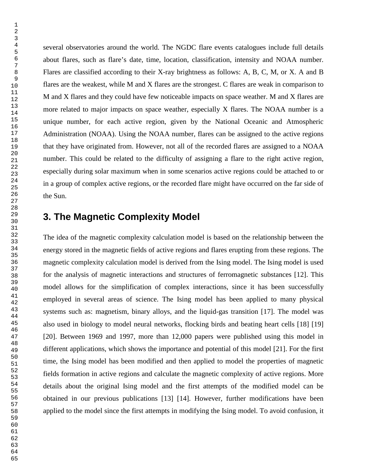several observatories around the world. The NGDC flare events catalogues include full details about flares, such as flare's date, time, location, classification, intensity and NOAA number. Flares are classified according to their X-ray brightness as follows: A, B, C, M, or X. A and B flares are the weakest, while M and X flares are the strongest. C flares are weak in comparison to M and X flares and they could have few noticeable impacts on space weather. M and X flares are more related to major impacts on space weather, especially X flares. The NOAA number is a unique number, for each active region, given by the National Oceanic and Atmospheric Administration (NOAA). Using the NOAA number, flares can be assigned to the active regions that they have originated from. However, not all of the recorded flares are assigned to a NOAA number. This could be related to the difficulty of assigning a flare to the right active region, especially during solar maximum when in some scenarios active regions could be attached to or in a group of complex active regions, or the recorded flare might have occurred on the far side of the Sun.

#### **3. The Magnetic Complexity Model**

The idea of the magnetic complexity calculation model is based on the relationship between the energy stored in the magnetic fields of active regions and flares erupting from these regions. The magnetic complexity calculation model is derived from the Ising model. The Ising model is used for the analysis of magnetic interactions and structures of ferromagnetic substances [12]. This model allows for the simplification of complex interactions, since it has been successfully employed in several areas of science. The Ising model has been applied to many physical systems such as: magnetism, binary alloys, and the liquid-gas transition [17]. The model was also used in biology to model neural networks, flocking birds and beating heart cells [18] [19] [20]. Between 1969 and 1997, more than 12,000 papers were published using this model in different applications, which shows the importance and potential of this model [21]. For the first time, the Ising model has been modified and then applied to model the properties of magnetic fields formation in active regions and calculate the magnetic complexity of active regions. More details about the original Ising model and the first attempts of the modified model can be obtained in our previous publications [13] [14]. However, further modifications have been applied to the model since the first attempts in modifying the Ising model. To avoid confusion, it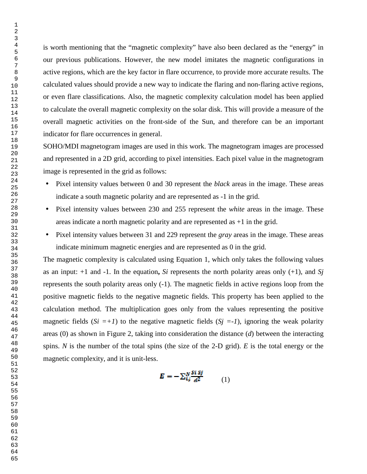is worth mentioning that the "magnetic complexity" have also been declared as the "energy" in our previous publications. However, the new model imitates the magnetic configurations in active regions, which are the key factor in flare occurrence, to provide more accurate results. The calculated values should provide a new way to indicate the flaring and non-flaring active regions, or even flare classifications. Also, the magnetic complexity calculation model has been applied to calculate the overall magnetic complexity on the solar disk. This will provide a measure of the overall magnetic activities on the front-side of the Sun, and therefore can be an important indicator for flare occurrences in general.

SOHO/MDI magnetogram images are used in this work. The magnetogram images are processed and represented in a 2D grid, according to pixel intensities. Each pixel value in the magnetogram image is represented in the grid as follows:

- Pixel intensity values between 0 and 30 represent the *black* areas in the image. These areas indicate a south magnetic polarity and are represented as -1 in the grid.
- Pixel intensity values between 230 and 255 represent the *white* areas in the image. These areas indicate a north magnetic polarity and are represented as +1 in the grid.
- Pixel intensity values between 31 and 229 represent the *gray* areas in the image. These areas indicate minimum magnetic energies and are represented as 0 in the grid.

The magnetic complexity is calculated using Equation 1, which only takes the following values as an input: +1 and -1. In the equation**,** *Si* represents the north polarity areas only (+1), and *Sj* represents the south polarity areas only (-1). The magnetic fields in active regions loop from the positive magnetic fields to the negative magnetic fields. This property has been applied to the calculation method. The multiplication goes only from the values representing the positive magnetic fields  $(S_i = +1)$  to the negative magnetic fields  $(S_j = -1)$ , ignoring the weak polarity areas (0) as shown in Figure 2, taking into consideration the distance (*d*) between the interacting spins. *N* is the number of the total spins (the size of the 2-D grid). *E* is the total energy or the magnetic complexity, and it is unit-less.

$$
E = -\sum_{i,j}^{N} \frac{Si Sj}{d^2} \tag{1}
$$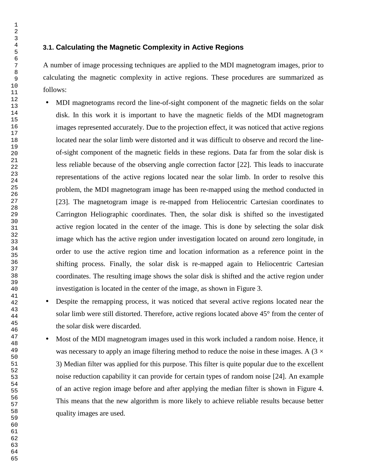#### **3.1. Calculating the Magnetic Complexity in Active Regions**

A number of image processing techniques are applied to the MDI magnetogram images, prior to calculating the magnetic complexity in active regions. These procedures are summarized as follows:

- MDI magnetograms record the line-of-sight component of the magnetic fields on the solar disk. In this work it is important to have the magnetic fields of the MDI magnetogram images represented accurately. Due to the projection effect, it was noticed that active regions located near the solar limb were distorted and it was difficult to observe and record the lineof-sight component of the magnetic fields in these regions. Data far from the solar disk is less reliable because of the observing angle correction factor [22]. This leads to inaccurate representations of the active regions located near the solar limb. In order to resolve this problem, the MDI magnetogram image has been re-mapped using the method conducted in [23]. The magnetogram image is re-mapped from Heliocentric Cartesian coordinates to Carrington Heliographic coordinates. Then, the solar disk is shifted so the investigated active region located in the center of the image. This is done by selecting the solar disk image which has the active region under investigation located on around zero longitude, in order to use the active region time and location information as a reference point in the shifting process. Finally, the solar disk is re-mapped again to Heliocentric Cartesian coordinates. The resulting image shows the solar disk is shifted and the active region under investigation is located in the center of the image, as shown in Figure 3.
- Despite the remapping process, it was noticed that several active regions located near the solar limb were still distorted. Therefore, active regions located above 45° from the center of the solar disk were discarded.
- Most of the MDI magnetogram images used in this work included a random noise. Hence, it was necessary to apply an image filtering method to reduce the noise in these images. A  $(3 \times$ 3) Median filter was applied for this purpose. This filter is quite popular due to the excellent noise reduction capability it can provide for certain types of random noise [24]. An example of an active region image before and after applying the median filter is shown in Figure 4. This means that the new algorithm is more likely to achieve reliable results because better quality images are used.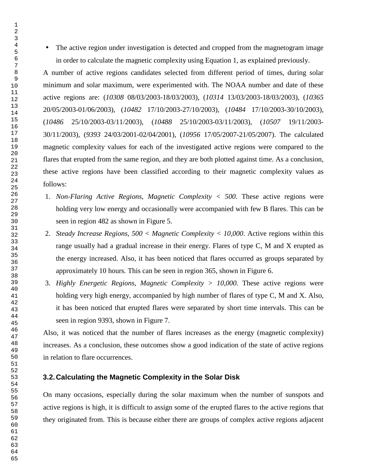• The active region under investigation is detected and cropped from the magnetogram image in order to calculate the magnetic complexity using Equation 1, as explained previously.

A number of active regions candidates selected from different period of times, during solar minimum and solar maximum, were experimented with. The NOAA number and date of these active regions are: (*10308* 08/03/2003-18/03/2003), (*10314* 13/03/2003-18/03/2003), (*10365* 20/05/2003-01/06/2003), (*10482* 17/10/2003-27/10/2003), (*10484* 17/10/2003-30/10/2003), (*10486* 25/10/2003-03/11/2003), (*10488* 25/10/2003-03/11/2003), (*10507* 19/11/2003- 30/11/2003), (*9393* 24/03/2001-02/04/2001), (*10956* 17/05/2007-21/05/2007). The calculated magnetic complexity values for each of the investigated active regions were compared to the flares that erupted from the same region, and they are both plotted against time. As a conclusion, these active regions have been classified according to their magnetic complexity values as follows:

- 1. *Non-Flaring Active Regions, Magnetic Complexity < 500*. These active regions were holding very low energy and occasionally were accompanied with few B flares. This can be seen in region 482 as shown in Figure 5.
- 2. *Steady Increase Regions, 500 < Magnetic Complexity < 10,000*. Active regions within this range usually had a gradual increase in their energy. Flares of type C, M and X erupted as the energy increased. Also, it has been noticed that flares occurred as groups separated by approximately 10 hours. This can be seen in region 365, shown in Figure 6.
- 3. *Highly Energetic Regions, Magnetic Complexity > 10,000.* These active regions were holding very high energy, accompanied by high number of flares of type C, M and X. Also, it has been noticed that erupted flares were separated by short time intervals. This can be seen in region 9393, shown in Figure 7.

Also, it was noticed that the number of flares increases as the energy (magnetic complexity) increases. As a conclusion, these outcomes show a good indication of the state of active regions in relation to flare occurrences.

#### **3.2. Calculating the Magnetic Complexity in the Solar Disk**

On many occasions, especially during the solar maximum when the number of sunspots and active regions is high, it is difficult to assign some of the erupted flares to the active regions that they originated from. This is because either there are groups of complex active regions adjacent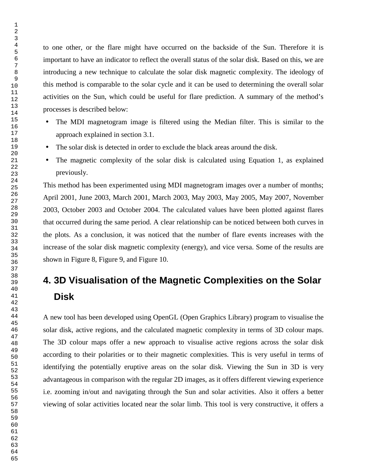to one other, or the flare might have occurred on the backside of the Sun. Therefore it is important to have an indicator to reflect the overall status of the solar disk. Based on this, we are introducing a new technique to calculate the solar disk magnetic complexity. The ideology of this method is comparable to the solar cycle and it can be used to determining the overall solar activities on the Sun, which could be useful for flare prediction. A summary of the method's processes is described below:

- The MDI magnetogram image is filtered using the Median filter. This is similar to the approach explained in section 3.1.
- The solar disk is detected in order to exclude the black areas around the disk.
- The magnetic complexity of the solar disk is calculated using Equation 1, as explained previously.

This method has been experimented using MDI magnetogram images over a number of months; April 2001, June 2003, March 2001, March 2003, May 2003, May 2005, May 2007, November 2003, October 2003 and October 2004. The calculated values have been plotted against flares that occurred during the same period. A clear relationship can be noticed between both curves in the plots. As a conclusion, it was noticed that the number of flare events increases with the increase of the solar disk magnetic complexity (energy), and vice versa. Some of the results are shown in Figure 8, Figure 9, and Figure 10.

# **4. 3D Visualisation of the Magnetic Complexities on the Solar Disk**

A new tool has been developed using OpenGL (Open Graphics Library) program to visualise the solar disk, active regions, and the calculated magnetic complexity in terms of 3D colour maps. The 3D colour maps offer a new approach to visualise active regions across the solar disk according to their polarities or to their magnetic complexities. This is very useful in terms of identifying the potentially eruptive areas on the solar disk. Viewing the Sun in 3D is very advantageous in comparison with the regular 2D images, as it offers different viewing experience i.e. zooming in/out and navigating through the Sun and solar activities. Also it offers a better viewing of solar activities located near the solar limb. This tool is very constructive, it offers a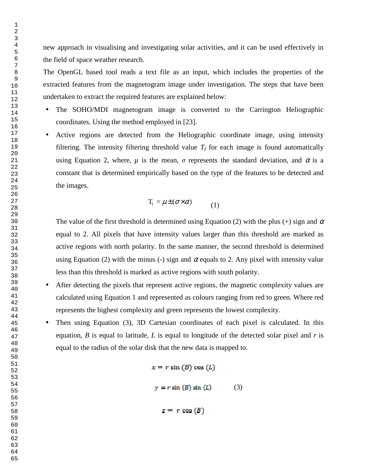new approach in visualising and investigating solar activities, and it can be used effectively in the field of space weather research.

The OpenGL based tool reads a text file as an input, which includes the properties of the extracted features from the magnetogram image under investigation. The steps that have been undertaken to extract the required features are explained below:

- The SOHO/MDI magnetogram image is converted to the Carrington Heliographic coordinates. Using the method employed in [23].
- Active regions are detected from the Heliographic coordinate image, using intensity filtering. The intensity filtering threshold value  $T_f$  for each image is found automatically using Equation 2, where,  $\mu$  is the mean,  $\sigma$  represents the standard deviation, and  $\alpha$  is a constant that is determined empirically based on the type of the features to be detected and the images.

$$
T_f = \mu \pm (\sigma \times \alpha) \tag{1}
$$

The value of the first threshold is determined using Equation (2) with the plus (+) sign and  $\alpha$ equal to 2. All pixels that have intensity values larger than this threshold are marked as active regions with north polarity. In the same manner, the second threshold is determined using Equation (2) with the minus (-) sign and  $\alpha$  equals to 2. Any pixel with intensity value less than this threshold is marked as active regions with south polarity.

- After detecting the pixels that represent active regions, the magnetic complexity values are calculated using Equation 1 and represented as colours ranging from red to green. Where red represents the highest complexity and green represents the lowest complexity.
- Then using Equation (3), 3D Cartesian coordinates of each pixel is calculated. In this equation, *B* is equal to latitude, *L* is equal to longitude of the detected solar pixel and *r* is equal to the radius of the solar disk that the new data is mapped to.

 $x = r \sin(B) \cos(L)$  $y = r \sin(B) \sin(L)$  (3)  $z = r \cos(B)$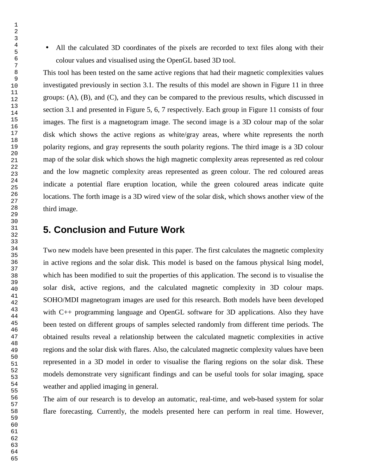• All the calculated 3D coordinates of the pixels are recorded to text files along with their colour values and visualised using the OpenGL based 3D tool.

This tool has been tested on the same active regions that had their magnetic complexities values investigated previously in section 3.1. The results of this model are shown in Figure 11 in three groups: (A), (B), and (C), and they can be compared to the previous results, which discussed in section 3.1 and presented in Figure 5, 6, 7 respectively. Each group in Figure 11 consists of four images. The first is a magnetogram image. The second image is a 3D colour map of the solar disk which shows the active regions as white/gray areas, where white represents the north polarity regions, and gray represents the south polarity regions. The third image is a 3D colour map of the solar disk which shows the high magnetic complexity areas represented as red colour and the low magnetic complexity areas represented as green colour. The red coloured areas indicate a potential flare eruption location, while the green coloured areas indicate quite locations. The forth image is a 3D wired view of the solar disk, which shows another view of the third image.

#### **5. Conclusion and Future Work**

Two new models have been presented in this paper. The first calculates the magnetic complexity in active regions and the solar disk. This model is based on the famous physical Ising model, which has been modified to suit the properties of this application. The second is to visualise the solar disk, active regions, and the calculated magnetic complexity in 3D colour maps. SOHO/MDI magnetogram images are used for this research. Both models have been developed with C++ programming language and OpenGL software for 3D applications. Also they have been tested on different groups of samples selected randomly from different time periods. The obtained results reveal a relationship between the calculated magnetic complexities in active regions and the solar disk with flares. Also, the calculated magnetic complexity values have been represented in a 3D model in order to visualise the flaring regions on the solar disk. These models demonstrate very significant findings and can be useful tools for solar imaging, space weather and applied imaging in general.

The aim of our research is to develop an automatic, real-time, and web-based system for solar flare forecasting. Currently, the models presented here can perform in real time. However,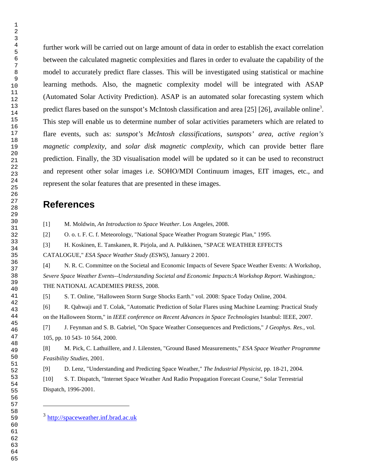> 

 $\overline{a}$ 

further work will be carried out on large amount of data in order to establish the exact correlation between the calculated magnetic complexities and flares in order to evaluate the capability of the model to accurately predict flare classes. This will be investigated using statistical or machine learning methods. Also, the magnetic complexity model will be integrated with ASAP (Automated Solar Activity Prediction). ASAP is an automated solar forecasting system which predict flares based on the sunspot's McIntosh classification and area [25] [26], available online<sup>3</sup>. This step will enable us to determine number of solar activities parameters which are related to flare events, such as: *sunspot's McIntosh classifications*, s*unspots' area, active region's magnetic complexity,* and *solar disk magnetic complexity*, which can provide better flare prediction. Finally, the 3D visualisation model will be updated so it can be used to reconstruct and represent other solar images i.e. SOHO/MDI Continuum images, EIT images, etc., and represent the solar features that are presented in these images.

#### **References**

[1] M. Moldwin, *An Introduction to Space Weather*. Los Angeles, 2008.

[2] O. o. t. F. C. f. Meteorology, "National Space Weather Program Strategic Plan," 1995.

[3] H. Koskinen, E. Tanskanen, R. Pirjola, and A. Pulkkinen, "SPACE WEATHER EFFECTS

CATALOGUE," *ESA Space Weather Study (ESWS),* January 2 2001.

[4] N. R. C. Committee on the Societal and Economic Impacts of Severe Space Weather Events: A Workshop, *Severe Space Weather Events--Understanding Societal and Economic Impacts:A Workshop Report*. Washington,: THE NATIONAL ACADEMIES PRESS, 2008.

[5] S. T. Online, "Halloween Storm Surge Shocks Earth." vol. 2008: Space Today Online, 2004.

[6] R. Qahwaji and T. Colak, "Automatic Prediction of Solar Flares using Machine Learning: Practical Study on the Halloween Storm," in *IEEE conference on Recent Advances in Space Technologies* Istanbul: IEEE, 2007.

[7] J. Feynman and S. B. Gabriel, "On Space Weather Consequences and Predictions," *J Geophys. Res.,* vol. 105, pp. 10 543- 10 564, 2000.

[8] M. Pick, C. Lathuillere, and J. Lilensten, "Ground Based Measurements," *ESA Space Weather Programme Feasibility Studies,* 2001.

[9] D. Lenz, "Understanding and Predicting Space Weather," *The Industrial Physicist,* pp. 18-21, 2004. [10] S. T. Dispatch, "Internet Space Weather And Radio Propagation Forecast Course," Solar Terrestrial Dispatch, 1996-2001.

<sup>&</sup>lt;sup>3</sup> http://spaceweather.inf.brad.ac.uk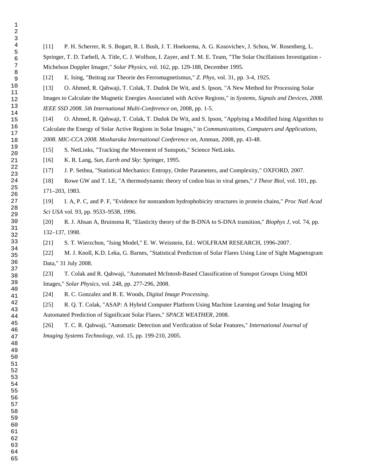[11] P. H. Scherrer, R. S. Bogart, R. I. Bush, J. T. Hoeksema, A. G. Kosovichev, J. Schou, W. Rosenberg, L.

Springer, T. D. Tarbell, A. Title, C. J. Wolfson, I. Zayer, and T. M. E. Team, "The Solar Oscillations Investigation - Michelson Doppler Imager," *Solar Physics,* vol. 162, pp. 129-188, December 1995.

[12] E. Ising, "Beitrag zur Theorie des Ferromagnetismus," *Z. Phys,* vol. 31, pp. 3-4, 1925.

[13] O. Ahmed, R. Qahwaji, T. Colak, T. Dudok De Wit, and S. Ipson, "A New Method for Processing Solar Images to Calculate the Magnetic Energies Associated with Active Regions," in *Systems, Signals and Devices, 2008. IEEE SSD 2008. 5th International Multi-Conference on*, 2008, pp. 1-5.

[14] O. Ahmed, R. Qahwaji, T. Colak, T. Dudok De Wit, and S. Ipson, "Applying a Modified Ising Algorithm to Calculate the Energy of Solar Active Regions in Solar Images," in *Communications, Computers and Applications, 2008. MIC-CCA 2008. Mosharaka International Conference on*, Amman, 2008, pp. 43-48.

[15] S. NetLinks, "Tracking the Movement of Sunspots," Science NetLinks.

[16] K. R. Lang, *Sun, Earth and Sky*: Springer, 1995.

[17] J. P. Sethna, "Statistical Mechanics: Entropy, Order Parameters, and Complexity," OXFORD, 2007.

[18] Rowe GW and T. LE, "A thermodynamic theory of codon bias in viral genes," *J Theor Biol,* vol. 101, pp. 171–203, 1983.

[19] I. A, P. C, and P. F, "Evidence for nonrandom hydrophobicity structures in protein chains," *Proc Natl Acad Sci USA* vol. 93, pp. 9533–9538, 1996.

[20] R. J. Ahsan A, Bruinsma R, "Elasticity theory of the B-DNA to S-DNA transition," *Biophys J,* vol. 74, pp. 132–137, 1998.

[21] S. T. Wierzchon, "Ising Model," E. W. Weisstein, Ed.: WOLFRAM RESEARCH, 1996-2007.

[22] M. J. Knoll, K.D. Leka, G. Barnes, "Statistical Prediction of Solar Flares Using Line of Sight Magnetogram Data," 31 July 2008.

[23] T. Colak and R. Qahwaji, "Automated McIntosh-Based Classification of Sunspot Groups Using MDI Images," *Solar Physics,* vol. 248, pp. 277-296, 2008.

[24] R. C. Gonzalez and R. E. Woods, *Digital Image Processing*.

[25] R. Q. T. Colak, "ASAP: A Hybrid Computer Platform Using Machine Learning and Solar Imaging for Automated Prediction of Significant Solar Flares," *SPACE WEATHER,* 2008.

[26] T. C. R. Qahwaji, "Automatic Detection and Verification of Solar Features," *International Journal of Imaging Systems Technology,* vol. 15, pp. 199-210, 2005.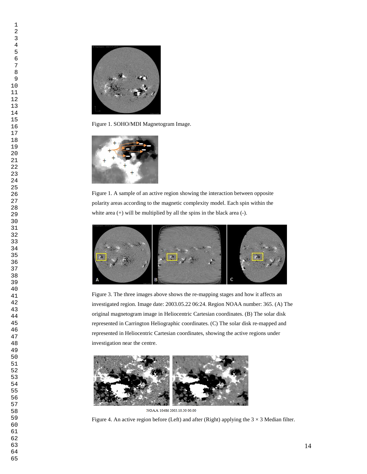

Figure 1. SOHO/MDI Magnetogram Image.



Figure 1. A sample of an active region showing the interaction between opposite polarity areas according to the magnetic complexity model. Each spin within the white area  $(+)$  will be multiplied by all the spins in the black area  $(-)$ .



Figure 3. The three images above shows the re-mapping stages and how it affects an investigated region. Image date: 2003.05.22 06:24. Region NOAA number: 365. (A) The original magnetogram image in Heliocentric Cartesian coordinates. (B) The solar disk represented in Carrington Heliographic coordinates. (C) The solar disk re-mapped and represented in Heliocentric Cartesian coordinates, showing the active regions under investigation near the centre.



NOAA 10486 2003.10.30 00.00

Figure 4. An active region before (Left) and after (Right) applying the  $3 \times 3$  Median filter.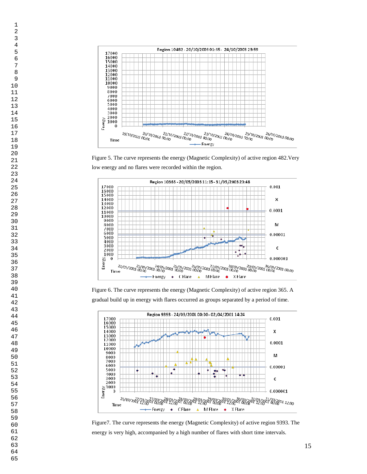

Figure 5. The curve represents the energy (Magnetic Complexity) of active region 482.Very low energy and no flares were recorded within the region.



Figure 6. The curve represents the energy (Magnetic Complexity) of active region 365. A gradual build up in energy with flares occurred as groups separated by a period of time.



Figure7. The curve represents the energy (Magnetic Complexity) of active region 9393. The energy is very high, accompanied by a high number of flares with short time intervals.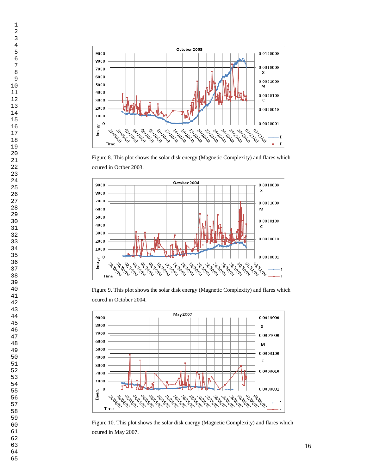

Figure 8. This plot shows the solar disk energy (Magnetic Complexity) and flares which ocured in Octber 2003.



Figure 9. This plot shows the solar disk energy (Magnetic Complexity) and flares which ocured in October 2004.



Figure 10. This plot shows the solar disk energy (Magnetic Complexity) and flares which ocured in May 2007.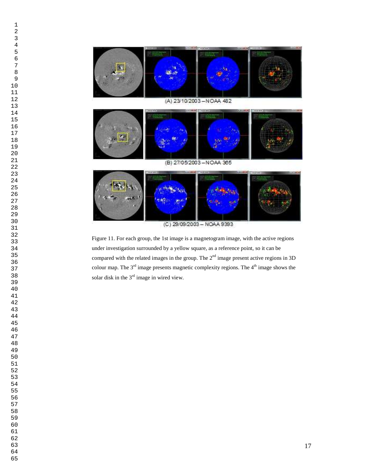

Figure 11. For each group, the 1st image is a magnetogram image, with the active regions under investigation surrounded by a yellow square, as a reference point, so it can be compared with the related images in the group. The  $2<sup>nd</sup>$  image present active regions in 3D colour map. The  $3<sup>rd</sup>$  image presents magnetic complexity regions. The  $4<sup>th</sup>$  image shows the solar disk in the  $3<sup>rd</sup>$  image in wired view.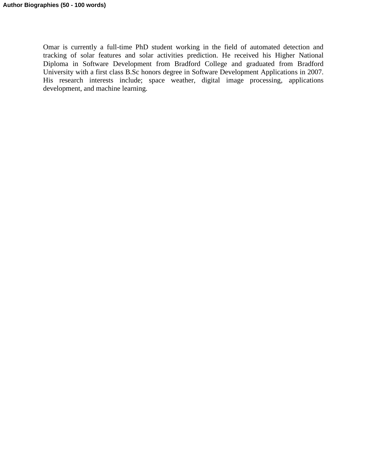Omar is currently a full-time PhD student working in the field of automated detection and tracking of solar features and solar activities prediction. He received his Higher National Diploma in Software Development from Bradford College and graduated from Bradford University with a first class B.Sc honors degree in Software Development Applications in 2007. His research interests include; space weather, digital image processing, applications development, and machine learning.